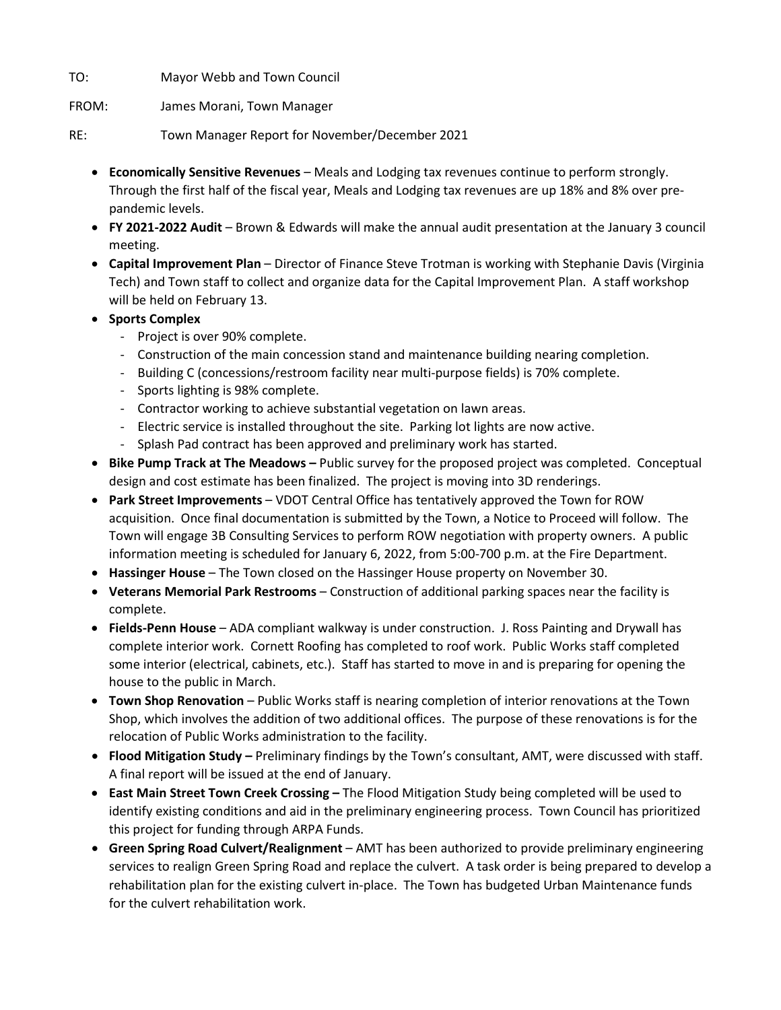TO: Mayor Webb and Town Council

FROM: James Morani, Town Manager

RE: Town Manager Report for November/December 2021

- **Economically Sensitive Revenues** Meals and Lodging tax revenues continue to perform strongly. Through the first half of the fiscal year, Meals and Lodging tax revenues are up 18% and 8% over prepandemic levels.
- **FY 2021-2022 Audit** Brown & Edwards will make the annual audit presentation at the January 3 council meeting.
- **Capital Improvement Plan** Director of Finance Steve Trotman is working with Stephanie Davis (Virginia Tech) and Town staff to collect and organize data for the Capital Improvement Plan. A staff workshop will be held on February 13.
- **Sports Complex**
	- Project is over 90% complete.
	- Construction of the main concession stand and maintenance building nearing completion.
	- Building C (concessions/restroom facility near multi-purpose fields) is 70% complete.
	- Sports lighting is 98% complete.
	- Contractor working to achieve substantial vegetation on lawn areas.
	- Electric service is installed throughout the site. Parking lot lights are now active.
	- Splash Pad contract has been approved and preliminary work has started.
- **Bike Pump Track at The Meadows –** Public survey for the proposed project was completed. Conceptual design and cost estimate has been finalized. The project is moving into 3D renderings.
- **Park Street Improvements** VDOT Central Office has tentatively approved the Town for ROW acquisition. Once final documentation is submitted by the Town, a Notice to Proceed will follow. The Town will engage 3B Consulting Services to perform ROW negotiation with property owners. A public information meeting is scheduled for January 6, 2022, from 5:00-700 p.m. at the Fire Department.
- **Hassinger House** The Town closed on the Hassinger House property on November 30.
- **Veterans Memorial Park Restrooms** Construction of additional parking spaces near the facility is complete.
- **Fields-Penn House** ADA compliant walkway is under construction. J. Ross Painting and Drywall has complete interior work. Cornett Roofing has completed to roof work. Public Works staff completed some interior (electrical, cabinets, etc.). Staff has started to move in and is preparing for opening the house to the public in March.
- **Town Shop Renovation** Public Works staff is nearing completion of interior renovations at the Town Shop, which involves the addition of two additional offices. The purpose of these renovations is for the relocation of Public Works administration to the facility.
- **Flood Mitigation Study –** Preliminary findings by the Town's consultant, AMT, were discussed with staff. A final report will be issued at the end of January.
- **East Main Street Town Creek Crossing –** The Flood Mitigation Study being completed will be used to identify existing conditions and aid in the preliminary engineering process. Town Council has prioritized this project for funding through ARPA Funds.
- **Green Spring Road Culvert/Realignment** AMT has been authorized to provide preliminary engineering services to realign Green Spring Road and replace the culvert. A task order is being prepared to develop a rehabilitation plan for the existing culvert in-place. The Town has budgeted Urban Maintenance funds for the culvert rehabilitation work.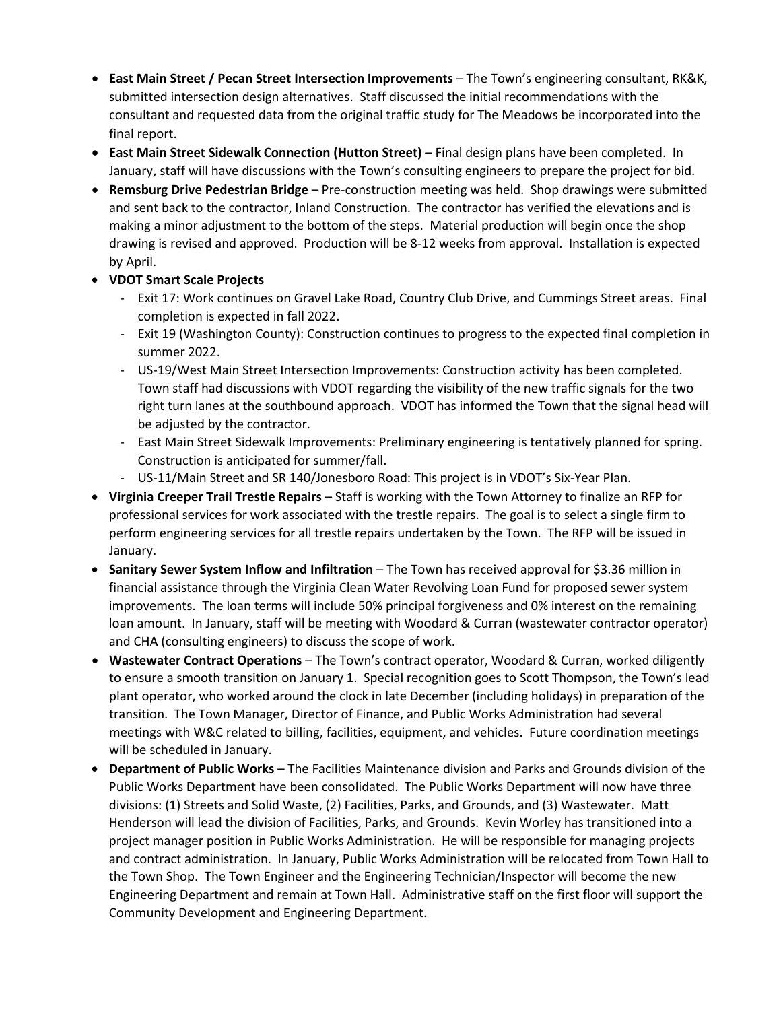- **East Main Street / Pecan Street Intersection Improvements**  The Town's engineering consultant, RK&K, submitted intersection design alternatives. Staff discussed the initial recommendations with the consultant and requested data from the original traffic study for The Meadows be incorporated into the final report.
- **East Main Street Sidewalk Connection (Hutton Street)** Final design plans have been completed. In January, staff will have discussions with the Town's consulting engineers to prepare the project for bid.
- **Remsburg Drive Pedestrian Bridge**  Pre-construction meeting was held. Shop drawings were submitted and sent back to the contractor, Inland Construction. The contractor has verified the elevations and is making a minor adjustment to the bottom of the steps. Material production will begin once the shop drawing is revised and approved. Production will be 8-12 weeks from approval. Installation is expected by April.
- **VDOT Smart Scale Projects**
	- Exit 17: Work continues on Gravel Lake Road, Country Club Drive, and Cummings Street areas. Final completion is expected in fall 2022.
	- Exit 19 (Washington County): Construction continues to progress to the expected final completion in summer 2022.
	- US-19/West Main Street Intersection Improvements: Construction activity has been completed. Town staff had discussions with VDOT regarding the visibility of the new traffic signals for the two right turn lanes at the southbound approach. VDOT has informed the Town that the signal head will be adjusted by the contractor.
	- East Main Street Sidewalk Improvements: Preliminary engineering is tentatively planned for spring. Construction is anticipated for summer/fall.
	- US-11/Main Street and SR 140/Jonesboro Road: This project is in VDOT's Six-Year Plan.
- **Virginia Creeper Trail Trestle Repairs** Staff is working with the Town Attorney to finalize an RFP for professional services for work associated with the trestle repairs. The goal is to select a single firm to perform engineering services for all trestle repairs undertaken by the Town. The RFP will be issued in January.
- **Sanitary Sewer System Inflow and Infiltration**  The Town has received approval for \$3.36 million in financial assistance through the Virginia Clean Water Revolving Loan Fund for proposed sewer system improvements. The loan terms will include 50% principal forgiveness and 0% interest on the remaining loan amount. In January, staff will be meeting with Woodard & Curran (wastewater contractor operator) and CHA (consulting engineers) to discuss the scope of work.
- **Wastewater Contract Operations** The Town's contract operator, Woodard & Curran, worked diligently to ensure a smooth transition on January 1. Special recognition goes to Scott Thompson, the Town's lead plant operator, who worked around the clock in late December (including holidays) in preparation of the transition. The Town Manager, Director of Finance, and Public Works Administration had several meetings with W&C related to billing, facilities, equipment, and vehicles. Future coordination meetings will be scheduled in January.
- **Department of Public Works** The Facilities Maintenance division and Parks and Grounds division of the Public Works Department have been consolidated. The Public Works Department will now have three divisions: (1) Streets and Solid Waste, (2) Facilities, Parks, and Grounds, and (3) Wastewater. Matt Henderson will lead the division of Facilities, Parks, and Grounds. Kevin Worley has transitioned into a project manager position in Public Works Administration. He will be responsible for managing projects and contract administration. In January, Public Works Administration will be relocated from Town Hall to the Town Shop. The Town Engineer and the Engineering Technician/Inspector will become the new Engineering Department and remain at Town Hall. Administrative staff on the first floor will support the Community Development and Engineering Department.